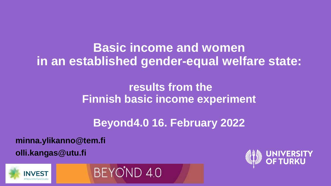#### **Basic income and women in an established gender-equal welfare state:**

#### **results from the Finnish basic income experiment**

### **Beyond4.0 16. February 2022**

**minna.ylikanno@tem.fi**

**olli.kangas@utu.fi**





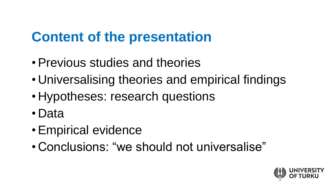## **Content of the presentation**

- •Previous studies and theories
- Universalising theories and empirical findings
- Hypotheses: research questions
- Data
- •Empirical evidence
- Conclusions: "we should not universalise"

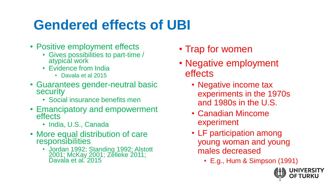# **Gendered effects of UBI**

- Positive employment effects
	- Gives possibilities to part-time / atypical work
	- Evidence from India
		- Davala et al 2015
- Guarantees gender-neutral basic **security** 
	- Social insurance benefits men
- Emancipatory and empowerment effects
	- India, U.S., Canada
- More equal distribution of care responsibilities
	- Jordan 1992; Standing 1992; Alstott 2001; McKay 2001; Zelleke 2011; Davala et al. 2015
- Trap for women
- Negative employment effects
	- Negative income tax experiments in the 1970s and 1980s in the U.S.
	- Canadian Mincome experiment
	- LF participation among young woman and young males decreased
		- E.g., Hum & Simpson (1991)

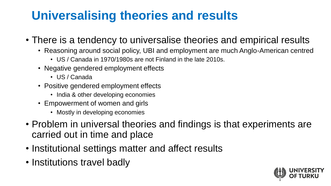### **Universalising theories and results**

- There is a tendency to universalise theories and empirical results
	- Reasoning around social policy, UBI and employment are much Anglo-American centred
		- US / Canada in 1970/1980s are not Finland in the late 2010s.
	- Negative gendered employment effects
		- US / Canada
	- Positive gendered employment effects
		- India & other developing economies
	- Empowerment of women and girls
		- Mostly in developing economies
- Problem in universal theories and findings is that experiments are carried out in time and place
- Institutional settings matter and affect results
- Institutions travel badly

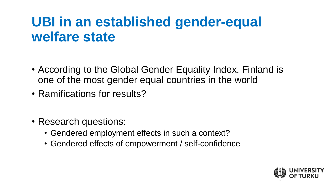### **UBI in an established gender-equal welfare state**

- According to the Global Gender Equality Index, Finland is one of the most gender equal countries in the world
- Ramifications for results?
- Research questions:
	- Gendered employment effects in such a context?
	- Gendered effects of empowerment / self-confidence

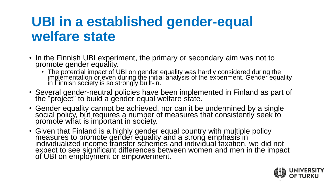## **UBI in a established gender-equal welfare state**

- In the Finnish UBI experiment, the primary or secondary aim was not to promote gender equality.
	- The potential impact of UBI on gender equality was hardly considered during the implementation or even during the initial analysis of the experiment. Gender equality in Finnish society is so strongly built-in.
- Several gender-neutral policies have been implemented in Finland as part of the "project" to build a gender equal welfare state.
- Gender equality cannot be achieved, nor can it be undermined by a single social policy, but requires a number of measures that consistently seek to promote what is important in society.
- Given that Finland is a highly gender equal country with multiple policy measures to promote gender equality and a strong emphasis in individualized income transfer schemes and individual taxation, we did not expect to see significant differences between women and men in the impact of UBI on employment or empowerment.

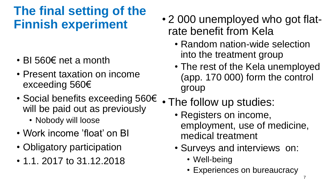### **The final setting of the Finnish experiment**

- BI 560€ net a month
- Present taxation on income exceeding 560€
- Social benefits exceeding 560€ will be paid out as previously
	- Nobody will loose
- Work income 'float' on BI
- Obligatory participation
- 1.1. 2017 to 31.12.2018
- 2 000 unemployed who got flatrate benefit from Kela
	- Random nation-wide selection into the treatment group
	- The rest of the Kela unemployed (app. 170 000) form the control group
- The follow up studies:
	- Registers on income, employment, use of medicine, medical treatment
	- Surveys and interviews on:
		- Well-being
		- Experiences on bureaucracy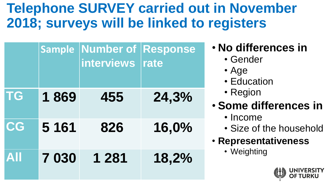## **Telephone SURVEY carried out in November 2018; surveys will be linked to registers**

|            |         | Sample Number of Response<br>interviews rate |       |  |
|------------|---------|----------------------------------------------|-------|--|
| TG         | 1869    | 455                                          | 24,3% |  |
| CG         | 5 1 6 1 | 826                                          | 16,0% |  |
| <b>AII</b> | 7030    | 1 2 8 1                                      | 18,2% |  |

• **No differences in**

- Gender
- Age
- Education
- Region
- **Some differences in** 
	- Income
	- Size of the household
- **Representativeness**
	- Weighting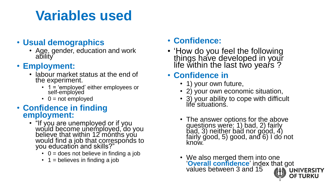## **Variables used**

#### • **Usual demographics**

• Age, gender, education and work ability

#### • **Employment:**

- labour market status at the end of the experiment.
	- 1  $=$  'employed' either employees or self-employed
	- $\cdot$  0 = not employed

#### • **Confidence in finding employment:**

- "If you are unemployed or if you would become unemployed, do you believe that within 12 months you would find a job that corresponds to you education and skills?"
	- $\cdot$  0 = does not believe in finding a job
	- $\cdot$  1 = believes in finding a job

#### • **Confidence:**

- How do you feel the following things have developed in your life within the last two years?
- **Confidence in** 
	- 1) your own future,
	- 2) your own economic situation,
	- 3) your ability to cope with difficult life situations.
	- The answer options for the above questions were: 1) bad, 2) fairly bad, 3) neither bad nor good, 4) fairly good, 5) good, and 6) I do not know.
	- We also merged them into one '**Overall confidence**' index that got values between 3 and 15 **AVA** UNIVERSITY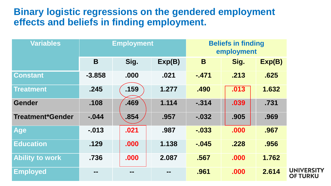#### **Binary logistic regressions on the gendered employment effects and beliefs in finding employment.**

| <b>Variables</b>        | <b>Employment</b> |       |               | <b>Beliefs in finding</b><br>employment |      |        |
|-------------------------|-------------------|-------|---------------|-----------------------------------------|------|--------|
|                         | B                 | Sig.  | Exp(B)        | B                                       | Sig. | Exp(B) |
| <b>Constant</b>         | $-3.858$          | .000  | .021          | $-.471$                                 | .213 | .625   |
| <b>Treatment</b>        | .245              | .159  | 1.277         | .490                                    | .013 | 1.632  |
| <b>Gender</b>           | .108              | .469  | 1.114         | $-314$                                  | .039 | .731   |
| <b>Treatment*Gender</b> | $-0.044$          | .854  | .957          | $-0.032$                                | .905 | .969   |
| <b>Age</b>              | $-0.013$          | .021  | .987          | $-0.033$                                | .000 | .967   |
| <b>Education</b>        | .129              | .000  | 1.138         | $-0.045$                                | .228 | .956   |
| <b>Ability to work</b>  | .736              | .000  | 2.087         | .567                                    | .000 | 1.762  |
| <b>Employed</b>         | $\sim$ $\sim$     | $= -$ | $\sim$ $\sim$ | .961                                    | .000 | 2.614  |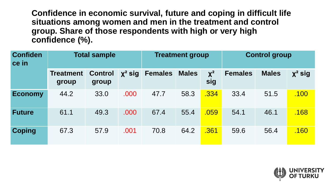**Confidence in economic survival, future and coping in difficult life situations among women and men in the treatment and control group. Share of those respondents with high or very high confidence (%).**

| <b>Confiden</b><br>ce in | <b>Total sample</b>       |                         |              | <b>Treatment group</b> |              |              | <b>Control group</b> |              |              |
|--------------------------|---------------------------|-------------------------|--------------|------------------------|--------------|--------------|----------------------|--------------|--------------|
|                          | <b>Treatment</b><br>group | <b>Control</b><br>group | $\chi^2$ sig | <b>Females</b>         | <b>Males</b> | $X^2$<br>sig | <b>Females</b>       | <b>Males</b> | $\chi^2$ sig |
| <b>Economy</b>           | 44.2                      | 33.0                    | .000         | 47.7                   | 58.3         | .334         | 33.4                 | 51.5         | <u>.100</u>  |
| <b>Future</b>            | 61.1                      | 49.3                    | .000         | 67.4                   | 55.4         | .059         | 54.1                 | 46.1         | .168         |
| <b>Coping</b>            | 67.3                      | 57.9                    | .001         | 70.8                   | 64.2         | .361         | 59.6                 | 56.4         | .160         |

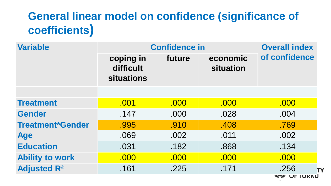#### **General linear model on confidence (significance of coefficients)**

| <b>Variable</b>               | <b>Confidence in</b>                        | <b>Overall index</b>            |      |                                    |  |  |
|-------------------------------|---------------------------------------------|---------------------------------|------|------------------------------------|--|--|
|                               | coping in<br>difficult<br><b>situations</b> | future<br>economic<br>situation |      | of confidence                      |  |  |
|                               |                                             |                                 |      |                                    |  |  |
| <b>Treatment</b>              | .001                                        | .000                            | .000 | .000                               |  |  |
| <b>Gender</b>                 | .147                                        | .000                            | .028 | .004                               |  |  |
| <b>Treatment*Gender</b>       | .995                                        | .910                            | .408 | .769                               |  |  |
| <b>Age</b>                    | .069                                        | .002                            | .011 | .002                               |  |  |
| <b>Education</b>              | .031                                        | .182                            | .868 | .134                               |  |  |
| <b>Ability to work</b>        | .000                                        | .000                            | .000 | .000                               |  |  |
| <b>Adjusted R<sup>2</sup></b> | .161                                        | .225                            | .171 | .256<br>TΥ<br><b>SHOP OF IURKU</b> |  |  |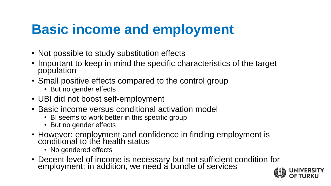## **Basic income and employment**

- Not possible to study substitution effects
- Important to keep in mind the specific characteristics of the target population
- Small positive effects compared to the control group
	- But no gender effects
- UBI did not boost self-employment
- Basic income versus conditional activation model
	- BI seems to work better in this specific group
	- But no gender effects
- However: employment and confidence in finding employment is conditional to the health status
	- No gendered effects
- Decent level of income is necessary but not sufficient condition for employment: in addition, we need a bundle of services

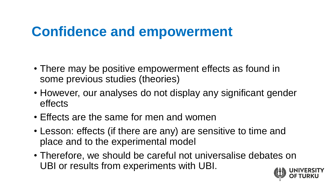## **Confidence and empowerment**

- There may be positive empowerment effects as found in some previous studies (theories)
- However, our analyses do not display any significant gender effects
- Effects are the same for men and women
- Lesson: effects (if there are any) are sensitive to time and place and to the experimental model
- Therefore, we should be careful not universalise debates on UBI or results from experiments with UBI.